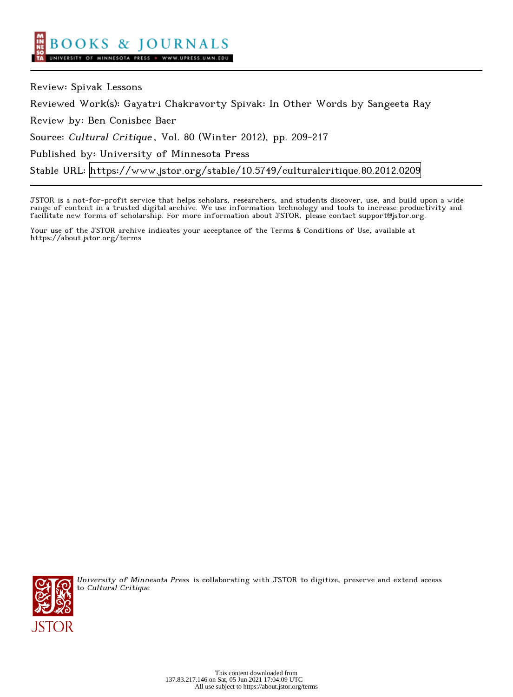Review: Spivak Lessons

Reviewed Work(s): Gayatri Chakravorty Spivak: In Other Words by Sangeeta Ray

Review by: Ben Conisbee Baer

Source: Cultural Critique , Vol. 80 (Winter 2012), pp. 209-217

Published by: University of Minnesota Press

Stable URL:<https://www.jstor.org/stable/10.5749/culturalcritique.80.2012.0209>

JSTOR is a not-for-profit service that helps scholars, researchers, and students discover, use, and build upon a wide range of content in a trusted digital archive. We use information technology and tools to increase productivity and facilitate new forms of scholarship. For more information about JSTOR, please contact support@jstor.org.

Your use of the JSTOR archive indicates your acceptance of the Terms & Conditions of Use, available at https://about.jstor.org/terms



University of Minnesota Press is collaborating with JSTOR to digitize, preserve and extend access to Cultural Critique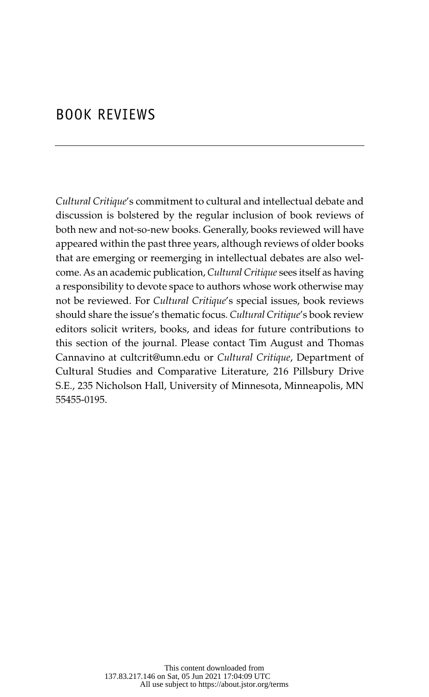# BOOK REVIEWS

*Cultural Critique*'s commitment to cultural and intellectual debate and discussion is bolstered by the regular inclusion of book reviews of both new and not-so-new books. Generally, books reviewed will have appeared within the past three years, although reviews of older books that are emerging or reemerging in intellectual debates are also welcome. As an academic publication, *Cultural Critique* sees itself as having a responsibility to devote space to authors whose work otherwise may not be reviewed. For *Cultural Critique*'s special issues, book reviews should share the issue's thematic focus. *Cultural Critique*'s book review editors solicit writers, books, and ideas for future contributions to this section of the journal. Please contact Tim August and Thomas Cannavino at cultcrit@umn.edu or *Cultural Critique*, Department of Cultural Studies and Comparative Literature, 216 Pillsbury Drive S.E., 235 Nicholson Hall, University of Minnesota, Minneapolis, MN 55455-0195.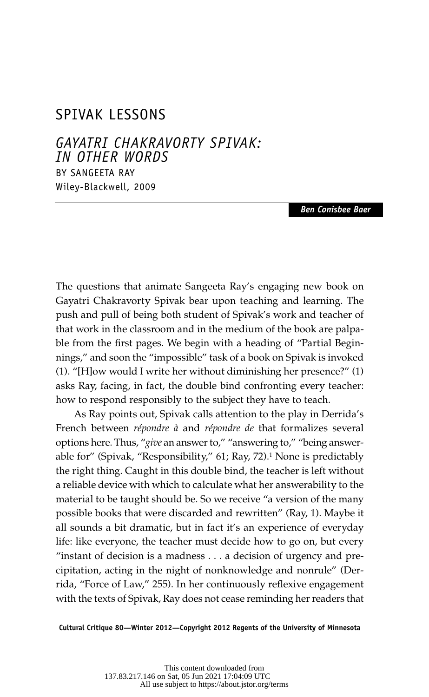## SPIVAK LESSONS

### *GAYATRI CHAKRAVORTY SPIVAK: IN OTHER WORDS* BY SANGEETA RAY Wiley-Blackwell, 2009

#### *Ben Conisbee Baer*

The questions that animate Sangeeta Ray's engaging new book on Gayatri Chakravorty Spivak bear upon teaching and learning. The push and pull of being both student of Spivak's work and teacher of that work in the classroom and in the medium of the book are palpable from the first pages. We begin with a heading of "Partial Beginnings," and soon the "impossible" task of a book on Spivak is invoked (1). "[H]ow would I write her without diminishing her presence?" (1) asks Ray, facing, in fact, the double bind confronting every teacher: how to respond responsibly to the subject they have to teach.

As Ray points out, Spivak calls attention to the play in Derrida's French between *répondre à* and *répondre de* that formalizes several options here. Thus, "*give* an answer to," "answering to," "being answerable for" (Spivak, "Responsibility," 61; Ray, 72).1 None is predictably the right thing. Caught in this double bind, the teacher is left without a reliable device with which to calculate what her answerability to the material to be taught should be. So we receive "a version of the many possible books that were discarded and rewritten" (Ray, 1). Maybe it all sounds a bit dramatic, but in fact it's an experience of everyday life: like everyone, the teacher must decide how to go on, but every "instant of decision is a madness . . . a decision of urgency and precipitation, acting in the night of nonknowledge and nonrule" (Derrida, "Force of Law," 255). In her continuously reflexive engagement with the texts of Spivak, Ray does not cease reminding her readers that

**Cultural Critique 80—Winter 2012—Copyright 2012 Regents of the University of Minnesota**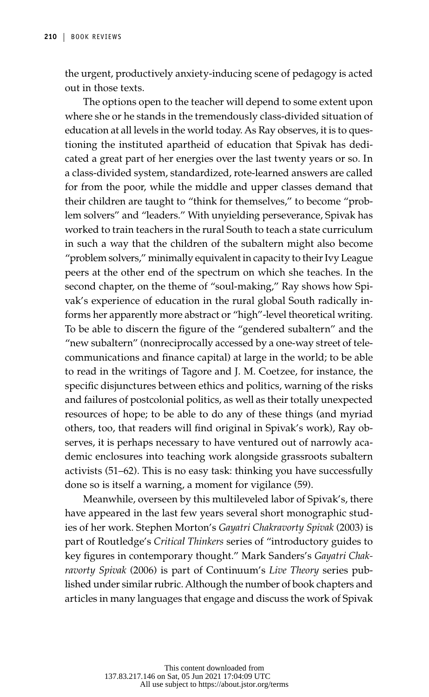the urgent, productively anxiety-inducing scene of pedagogy is acted out in those texts.

The options open to the teacher will depend to some extent upon where she or he stands in the tremendously class-divided situation of education at all levels in the world today. As Ray observes, it is to questioning the instituted apartheid of education that Spivak has dedicated a great part of her energies over the last twenty years or so. In a class-divided system, standardized, rote-learned answers are called for from the poor, while the middle and upper classes demand that their children are taught to "think for themselves," to become "problem solvers" and "leaders." With unyielding perseverance, Spivak has worked to train teachers in the rural South to teach a state curriculum in such a way that the children of the subaltern might also become "problem solvers," minimally equivalent in capacity to their Ivy League peers at the other end of the spectrum on which she teaches. In the second chapter, on the theme of "soul-making," Ray shows how Spivak's experience of education in the rural global South radically informs her apparently more abstract or "high"-level theoretical writing. To be able to discern the figure of the "gendered subaltern" and the "new subaltern" (nonreciprocally accessed by a one-way street of telecommunications and finance capital) at large in the world; to be able to read in the writings of Tagore and J. M. Coetzee, for instance, the specific disjunctures between ethics and politics, warning of the risks and failures of postcolonial politics, as well as their totally unexpected resources of hope; to be able to do any of these things (and myriad others, too, that readers will find original in Spivak's work), Ray observes, it is perhaps necessary to have ventured out of narrowly academic enclosures into teaching work alongside grassroots subaltern activists (51–62). This is no easy task: thinking you have successfully done so is itself a warning, a moment for vigilance (59).

Meanwhile, overseen by this multileveled labor of Spivak's, there have appeared in the last few years several short monographic studies of her work. Stephen Morton's *Gayatri Chakravorty Spivak* (2003) is part of Routledge's *Critical Thinkers* series of "introductory guides to key figures in contemporary thought." Mark Sanders's Gayatri Chak*ravorty Spivak* (2006) is part of Continuum's *Live Theory* series published under similar rubric. Although the number of book chapters and articles in many languages that engage and discuss the work of Spivak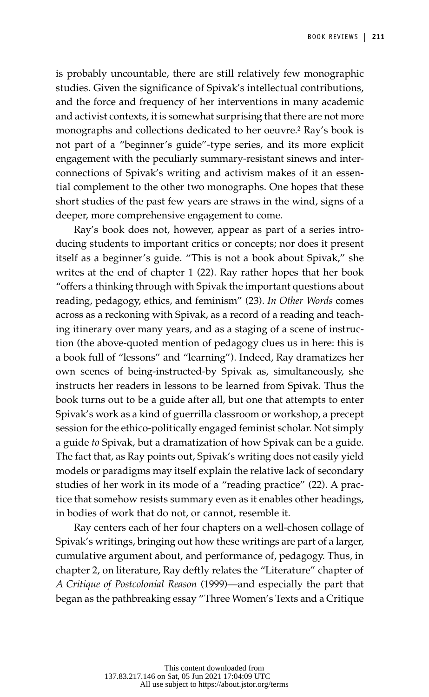is probably uncountable, there are still relatively few monographic studies. Given the significance of Spivak's intellectual contributions, and the force and frequency of her interventions in many academic and activist contexts, it is somewhat surprising that there are not more monographs and collections dedicated to her oeuvre.<sup>2</sup> Ray's book is not part of a "beginner's guide"-type series, and its more explicit engagement with the peculiarly summary-resistant sinews and interconnections of Spivak's writing and activism makes of it an essential complement to the other two monographs. One hopes that these short studies of the past few years are straws in the wind, signs of a deeper, more comprehensive engagement to come.

Ray's book does not, however, appear as part of a series introducing students to important critics or concepts; nor does it present itself as a beginner's guide. " This is not a book about Spivak," she writes at the end of chapter 1 (22). Ray rather hopes that her book "offers a thinking through with Spivak the important questions about reading, pedagogy, ethics, and feminism" (23). *In Other Words* comes across as a reckoning with Spivak, as a record of a reading and teaching itinerary over many years, and as a staging of a scene of instruction (the above-quoted mention of pedagogy clues us in here: this is a book full of "lessons" and "learning"). Indeed, Ray dramatizes her own scenes of being-instructed-by Spivak as, simultaneously, she instructs her readers in lessons to be learned from Spivak. Thus the book turns out to be a guide after all, but one that attempts to enter Spivak's work as a kind of guerrilla classroom or workshop, a precept session for the ethico-politically engaged feminist scholar. Not simply a guide *to* Spivak, but a dramatization of how Spivak can be a guide. The fact that, as Ray points out, Spivak's writing does not easily yield models or paradigms may itself explain the relative lack of secondary studies of her work in its mode of a "reading practice" (22). A practice that somehow resists summary even as it enables other headings, in bodies of work that do not, or cannot, resemble it.

Ray centers each of her four chapters on a well-chosen collage of Spivak's writings, bringing out how these writings are part of a larger, cumulative argument about, and performance of, pedagogy. Thus, in chapter 2, on literature, Ray deftly relates the "Literature" chapter of *A Critique of Postcolonial Reason* (1999)—and especially the part that began as the pathbreaking essay " Three Women's Texts and a Critique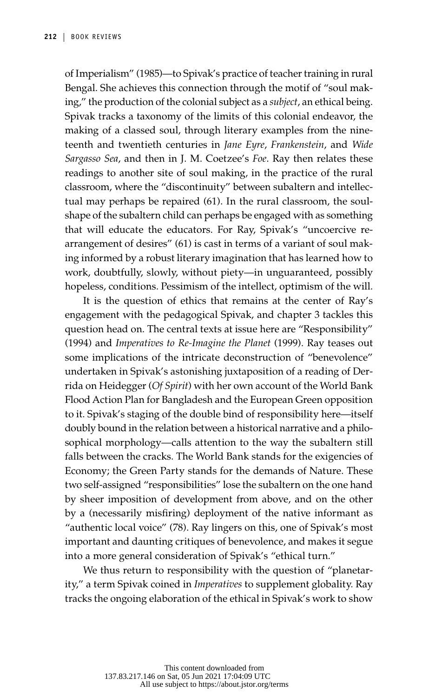of Imperialism" (1985)—to Spivak's practice of teacher training in rural Bengal. She achieves this connection through the motif of "soul making," the production of the colonial subject as a *subject*, an ethical being. Spivak tracks a taxonomy of the limits of this colonial endeavor, the making of a classed soul, through literary examples from the nineteenth and twentieth centuries in *Jane Eyre*, *Frankenstein*, and *Wide Sargasso Sea*, and then in J. M. Coetzee's *Foe*. Ray then relates these readings to another site of soul making, in the practice of the rural classroom, where the "discontinuity" between subaltern and intellectual may perhaps be repaired (61). In the rural classroom, the soulshape of the subaltern child can perhaps be engaged with as something that will educate the educators. For Ray, Spivak's "uncoercive rearrangement of desires" (61) is cast in terms of a variant of soul making informed by a robust literary imagination that has learned how to work, doubtfully, slowly, without piety—in unguaranteed, possibly hopeless, conditions. Pessimism of the intellect, optimism of the will.

It is the question of ethics that remains at the center of Ray's engagement with the pedagogical Spivak, and chapter 3 tackles this question head on. The central texts at issue here are "Responsibility" (1994) and *Imperatives to Re-Imagine the Planet* (1999). Ray teases out some implications of the intricate deconstruction of "benevolence" undertaken in Spivak's astonishing juxtaposition of a reading of Derrida on Heidegger (*Of Spirit*) with her own account of the World Bank Flood Action Plan for Bangladesh and the European Green opposition to it. Spivak's staging of the double bind of responsibility here—itself doubly bound in the relation between a historical narrative and a philosophical morphology—calls attention to the way the subaltern still falls between the cracks. The World Bank stands for the exigencies of Economy; the Green Party stands for the demands of Nature. These two self-assigned "responsibilities" lose the subaltern on the one hand by sheer imposition of development from above, and on the other by a (necessarily misfiring) deployment of the native informant as "authentic local voice" (78). Ray lingers on this, one of Spivak's most important and daunting critiques of benevolence, and makes it segue into a more general consideration of Spivak's "ethical turn."

We thus return to responsibility with the question of "planetarity," a term Spivak coined in *Imperatives* to supplement globality. Ray tracks the ongoing elaboration of the ethical in Spivak's work to show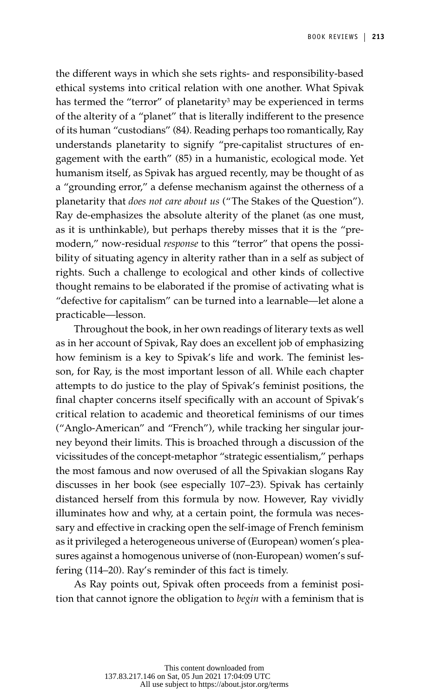the different ways in which she sets rights- and responsibility-based ethical systems into critical relation with one another. What Spivak has termed the "terror" of planetarity<sup>3</sup> may be experienced in terms of the alterity of a "planet" that is literally indifferent to the presence of its human "custodians" (84). Reading perhaps too romantically, Ray understands planetarity to signify "pre-capitalist structures of engagement with the earth" (85) in a humanistic, ecological mode. Yet humanism itself, as Spivak has argued recently, may be thought of as a "grounding error," a defense mechanism against the otherness of a planetarity that *does not care about us* (" The Stakes of the Question"). Ray de-emphasizes the absolute alterity of the planet (as one must, as it is unthinkable), but perhaps thereby misses that it is the "premodern," now-residual *response* to this "terror" that opens the possibility of situating agency in alterity rather than in a self as subject of rights. Such a challenge to ecological and other kinds of collective thought remains to be elaborated if the promise of activating what is "defective for capitalism" can be turned into a learnable—let alone a practicable—lesson.

Throughout the book, in her own readings of literary texts as well as in her account of Spivak, Ray does an excellent job of emphasizing how feminism is a key to Spivak's life and work. The feminist lesson, for Ray, is the most important lesson of all. While each chapter attempts to do justice to the play of Spivak's feminist positions, the final chapter concerns itself specifically with an account of Spivak's critical relation to academic and theoretical feminisms of our times ("Anglo-American" and "French"), while tracking her singular journey beyond their limits. This is broached through a discussion of the vicissitudes of the concept-metaphor "strategic essentialism," perhaps the most famous and now overused of all the Spivakian slogans Ray discusses in her book (see especially 107–23). Spivak has certainly distanced herself from this formula by now. However, Ray vividly illuminates how and why, at a certain point, the formula was necessary and effective in cracking open the self-image of French feminism as it privileged a heterogeneous universe of (European) women's pleasures against a homogenous universe of (non-European) women's suffering (114–20). Ray's reminder of this fact is timely.

As Ray points out, Spivak often proceeds from a feminist position that cannot ignore the obligation to *begin* with a feminism that is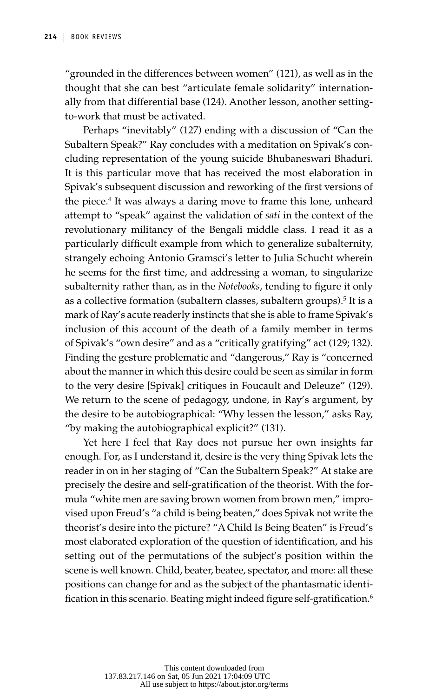"grounded in the differences between women" (121), as well as in the thought that she can best "articulate female solidarity" internationally from that differential base (124). Another lesson, another settingto-work that must be activated.

Perhaps "inevitably" (127) ending with a discussion of "Can the Subaltern Speak?" Ray concludes with a meditation on Spivak's concluding representation of the young suicide Bhubaneswari Bhaduri. It is this particular move that has received the most elaboration in Spivak's subsequent discussion and reworking of the first versions of the piece.<sup>4</sup> It was always a daring move to frame this lone, unheard attempt to "speak" against the validation of *sati* in the context of the revolutionary militancy of the Bengali middle class. I read it as a particularly difficult example from which to generalize subalternity, strangely echoing Antonio Gramsci's letter to Julia Schucht wherein he seems for the first time, and addressing a woman, to singularize subalternity rather than, as in the *Notebooks*, tending to figure it only as a collective formation (subaltern classes, subaltern groups).<sup>5</sup> It is a mark of Ray's acute readerly instincts that she is able to frame Spivak's inclusion of this account of the death of a family member in terms of Spivak's "own desire" and as a "critically gratifying" act (129; 132). Finding the gesture problematic and "dangerous," Ray is "concerned about the manner in which this desire could be seen as similar in form to the very desire [Spivak] critiques in Foucault and Deleuze" (129). We return to the scene of pedagogy, undone, in Ray's argument, by the desire to be autobiographical: "Why lessen the lesson," asks Ray, "by making the autobiographical explicit?" (131).

Yet here I feel that Ray does not pursue her own insights far enough. For, as I understand it, desire is the very thing Spivak lets the reader in on in her staging of "Can the Subaltern Speak?" At stake are precisely the desire and self-gratification of the theorist. With the formula "white men are saving brown women from brown men," improvised upon Freud's "a child is being beaten," does Spivak not write the theorist's desire into the picture? "A Child Is Being Beaten" is Freud's most elaborated exploration of the question of identification, and his setting out of the permutations of the subject's position within the scene is well known. Child, beater, beatee, spectator, and more: all these positions can change for and as the subject of the phantasmatic identification in this scenario. Beating might indeed figure self-gratification.<sup>6</sup>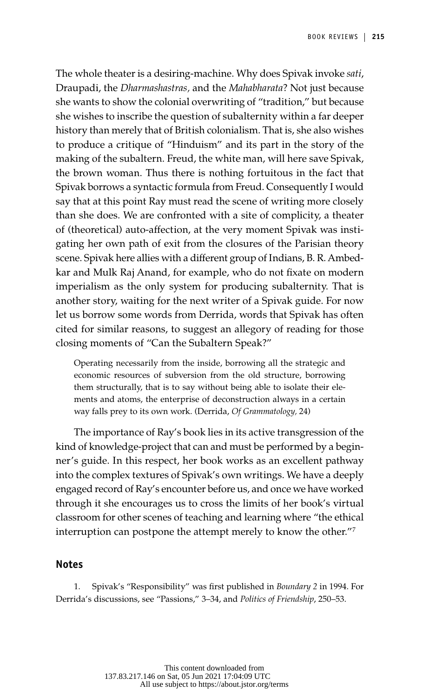The whole theater is a desiring-machine. Why does Spivak invoke *sati*, Draupadi, the *Dharmashastras,* and the *Mahabharata*? Not just because she wants to show the colonial overwriting of "tradition," but because she wishes to inscribe the question of subalternity within a far deeper history than merely that of British colonialism. That is, she also wishes to produce a critique of "Hinduism" and its part in the story of the making of the subaltern. Freud, the white man, will here save Spivak, the brown woman. Thus there is nothing fortuitous in the fact that Spivak borrows a syntactic formula from Freud. Consequently I would say that at this point Ray must read the scene of writing more closely than she does. We are confronted with a site of complicity, a theater of (theoretical) auto-affection, at the very moment Spivak was instigating her own path of exit from the closures of the Parisian theory scene. Spivak here allies with a different group of Indians, B. R. Ambed kar and Mulk Raj Anand, for example, who do not fixate on modern imperialism as the only system for producing subalternity. That is another story, waiting for the next writer of a Spivak guide. For now let us borrow some words from Derrida, words that Spivak has often cited for similar reasons, to suggest an allegory of reading for those closing moments of "Can the Subaltern Speak?"

Operating necessarily from the inside, borrowing all the strategic and economic resources of subversion from the old structure, borrowing them structurally, that is to say without being able to isolate their elements and atoms, the enterprise of deconstruction always in a certain way falls prey to its own work. (Derrida, *Of Grammatology,* 24)

The importance of Ray's book lies in its active transgression of the kind of knowledge-project that can and must be performed by a beginner's guide. In this respect, her book works as an excellent pathway into the complex textures of Spivak's own writings. We have a deeply engaged record of Ray's encounter before us, and once we have worked through it she encourages us to cross the limits of her book's virtual classroom for other scenes of teaching and learning where "the ethical interruption can postpone the attempt merely to know the other."7

#### **Notes**

1. Spivak's "Responsibility" was first published in *Boundary 2* in 1994. For Derrida's discussions, see "Passions," 3–34, and *Politics of Friendship*, 250–53.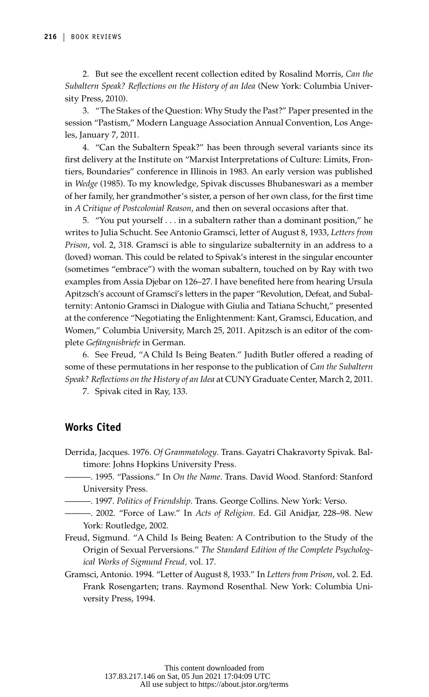2. But see the excellent recent collection edited by Rosalind Morris, *Can the Subaltern Speak? Reflections on the History of an Idea* (New York: Columbia University Press, 2010).

3. " The Stakes of the Question: Why Study the Past?" Paper presented in the session "Pastism," Modern Language Association Annual Convention, Los Angeles, January 7, 2011.

4. "Can the Subaltern Speak?" has been through several variants since its first delivery at the Institute on "Marxist Interpretations of Culture: Limits, Frontiers, Boundaries" conference in Illinois in 1983. An early version was published in *Wedge* (1985). To my knowledge, Spivak discusses Bhubaneswari as a member of her family, her grandmother's sister, a person of her own class, for the first time in *A Critique of Postcolonial Reason*, and then on several occasions after that.

5. "You put yourself . . . in a subaltern rather than a dominant position," he writes to Julia Schucht. See Antonio Gramsci, letter of August 8, 1933, *Letters from Prison*, vol. 2, 318. Gramsci is able to singularize subalternity in an address to a (loved) woman. This could be related to Spivak's interest in the singular encounter (sometimes "embrace") with the woman subaltern, touched on by Ray with two examples from Assia Djebar on 126–27. I have benefited here from hearing Ursula Apitzsch's account of Gramsci's letters in the paper "Revolution, Defeat, and Subalternity: Antonio Gramsci in Dialogue with Giulia and Tatiana Schucht," presented at the conference "Negotiating the Enlightenment: Kant, Gramsci, Education, and Women," Columbia University, March 25, 2011. Apitzsch is an editor of the complete *Gefängnisbriefe* in German.

6. See Freud, "A Child Is Being Beaten." Judith Butler offered a reading of some of these permutations in her response to the publication of *Can the Subaltern Speak? Reflections on the History of an Idea* at CUNY Graduate Center, March 2, 2011.

7. Spivak cited in Ray, 133.

### **Works Cited**

- Derrida, Jacques. 1976. *Of Grammatology*. Trans. Gayatri Chakravorty Spivak. Baltimore: Johns Hopkins University Press.
	- ———. 1995. "Passions." In *On the Name*. Trans. David Wood. Stanford: Stanford University Press.
	- ———. 1997. *Politics of Friendship*. Trans. George Collins. New York: Verso.
- ———. 2002. "Force of Law." In *Acts of Religion*. Ed. Gil Anidjar, 228–98. New York: Routledge, 2002.
- Freud, Sigmund. "A Child Is Being Beaten: A Contribution to the Study of the Origin of Sexual Perversions." *The Standard Edition of the Complete Psychological Works of Sigmund Freud,* vol. 17.
- Gramsci, Antonio. 1994. "Letter of August 8, 1933." In *Letters from Prison*, vol. 2. Ed. Frank Rosengarten; trans. Raymond Rosenthal. New York: Columbia University Press, 1994.